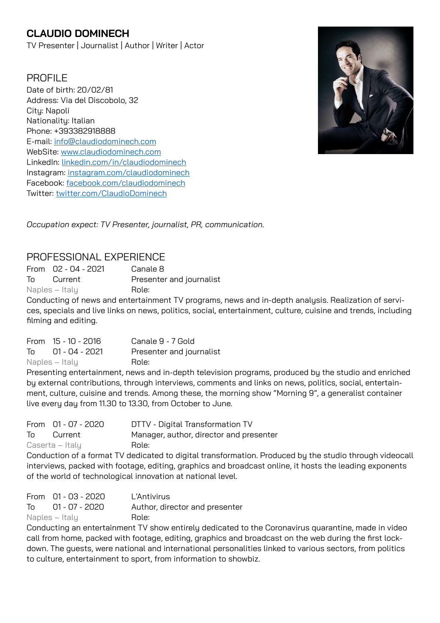# **CLAUDIO DOMINECH**

TV Presenter | Journalist | Author | Writer | Actor

## PROFIL<sub>F</sub>

Date of birth: 20/02/81 Address: Via del Discobolo, 32 Citu: Napoli Nationality: Italian Phone: +393382918888 E-mail: [info@claudiodominech.com](mailto:info@claudiodominech.com) WebSite: [www.claudiodominech.com](http://www.claudiodominech.com) LinkedIn: [linkedin.com/in/claudiodominech](http://www.linkedin.com/in/claudiodominech) Instagram: [instagram.com/claudiodominech](http://instagram.com/claudiodominech) Facebook: [facebook.com/claudiodominech](http://facebook.com/claudiodominech) Twitter: [twitter.com/ClaudioDominech](http://twitter.com/ClaudioDominech)



*Occupation expect: TV Presenter, journalist, PR, communication.*

## PROFESSIONAL EXPERIENCE

From 02 - 04 - 2021 Canale 8 To Current Presenter and journalist Naples – Italy **Role:** 

Conducting of news and entertainment TV programs, news and in-depth analysis. Realization of services, specials and live links on news, politics, social, entertainment, culture, cuisine and trends, including filming and editing.

| From 15 - 10 - 2016 | Canale 9 - 7 Gold        |
|---------------------|--------------------------|
| To 01 - 04 - 2021   | Presenter and journalist |
| Naples – Italy      | Role:                    |

Presenting entertainment, news and in-depth television programs, produced by the studio and enriched by external contributions, through interviews, comments and links on news, politics, social, entertainment, culture, cuisine and trends. Among these, the morning show "Morning 9", a generalist container live every day from 11.30 to 13.30, from October to June.

|    | From 01 - 07 - 2020 | DTTV - Digital Transformation TV        |
|----|---------------------|-----------------------------------------|
| To | Current             | Manager, author, director and presenter |
|    | Caserta – Italy     | Role:                                   |
|    |                     |                                         |

Conduction of a format TV dedicated to digital transformation. Produced by the studio through videocall interviews, packed with footage, editing, graphics and broadcast online, it hosts the leading exponents of the world of technological innovation at national level.

|    | From 01 - 03 - 2020 | L'Antivirus                    |
|----|---------------------|--------------------------------|
| To | 01 - 07 - 2020      | Author, director and presenter |
|    | Naples – Italy      | Role:                          |

Conducting an entertainment TV show entirely dedicated to the Coronavirus quarantine, made in video call from home, packed with footage, editing, graphics and broadcast on the web during the first lockdown. The guests, were national and international personalities linked to various sectors, from politics to culture, entertainment to sport, from information to showbiz.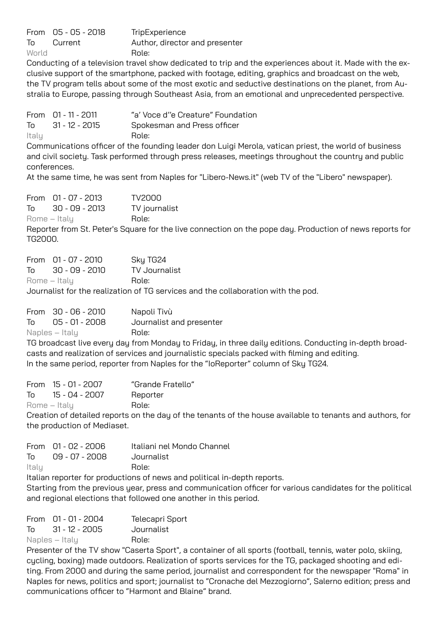|       | From 05 - 05 - 2018 | TripExperience                 |
|-------|---------------------|--------------------------------|
| To    | Current             | Author, director and presenter |
| World |                     | Role:                          |

Conducting of a television travel show dedicated to trip and the experiences about it. Made with the exclusive support of the smartphone, packed with footage, editing, graphics and broadcast on the web, the TV program tells about some of the most exotic and seductive destinations on the planet, from Australia to Europe, passing through Southeast Asia, from an emotional and unprecedented perspective.

|       | From 01 - 11 - 2011 | "a' Voce d''e Creature" Foundation |
|-------|---------------------|------------------------------------|
| To    | 31 - 12 - 2015      | Spokesman and Press officer        |
| Italy |                     | Role:                              |
|       |                     |                                    |

Communications officer of the founding leader don Luigi Merola, vatican priest, the world of business and civil society. Task performed through press releases, meetings throughout the country and public conferences.

At the same time, he was sent from Naples for "Libero-News.it" (web TV of the "Libero" newspaper).

| From 01 - 07 - 2013 | TV2000        |
|---------------------|---------------|
| To 30 - 09 - 2013   | TV journalist |
| Rome – Italy        | Role:         |

Reporter from St. Peter's Square for the live connection on the pope day. Production of news reports for TG2000.

| From 01 - 07 - 2010 |  | Sky TG24      |  |
|---------------------|--|---------------|--|
| To 30 - 09 - 2010   |  | TV Journalist |  |
| Rome – Italy        |  | Role:         |  |
|                     |  |               |  |

Journalist for the realization of TG services and the collaboration with the pod.

|    | From 30 - 06 - 2010 | Napoli Tivù              |
|----|---------------------|--------------------------|
| To | 05 - 01 - 2008      | Journalist and presenter |
|    | Naples – Italy      | Role:                    |

TG broadcast live every day from Monday to Friday, in three daily editions. Conducting in-depth broadcasts and realization of services and journalistic specials packed with filming and editing. In the same period, reporter from Naples for the "IoReporter" column of Sky TG24.

|              | From 15 - 01 - 2007  | "Grande Fratello" |
|--------------|----------------------|-------------------|
|              | $T_0$ 15 - 04 - 2007 | Reporter          |
| Rome – Italy |                      | Role:             |

Creation of detailed reports on the day of the tenants of the house available to tenants and authors, for the production of Mediaset.

|       | From 01 - 02 - 2006 | Italiani nel Mondo Channel |
|-------|---------------------|----------------------------|
| T∩    | 09 - 07 - 2008      | Journalist                 |
| Italy |                     | Role:                      |

Italian reporter for productions of news and political in-depth reports.

Starting from the previous year, press and communication officer for various candidates for the political and regional elections that followed one another in this period.

| From 01 - 01 - 2004  | Telecapri Sport |
|----------------------|-----------------|
| $T_0$ 31 - 12 - 2005 | Journalist      |
| Naples – Italy       | Role:           |

Presenter of the TV show "Caserta Sport", a container of all sports (football, tennis, water polo, skiing, cycling, boxing) made outdoors. Realization of sports services for the TG, packaged shooting and editing. From 2000 and during the same period, journalist and correspondent for the newspaper "Roma" in Naples for news, politics and sport; journalist to "Cronache del Mezzogiorno", Salerno edition; press and communications officer to "Harmont and Blaine" brand.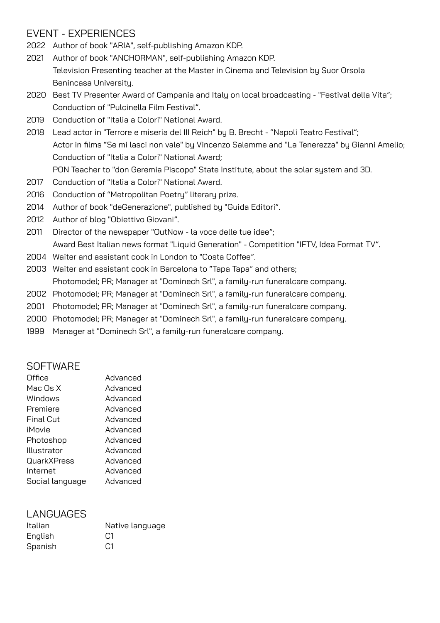## EVENT - EXPERIENCES

- 2022 Author of book "ARIA", self-publishing Amazon KDP.
- 2021 Author of book "ANCHORMAN", self-publishing Amazon KDP. Television Presenting teacher at the Master in Cinema and Television by Suor Orsola Benincasa University.
- 2020 Best TV Presenter Award of Campania and Italy on local broadcasting "Festival della Vita"; Conduction of "Pulcinella Film Festival".
- 2019 Conduction of "Italia a Colori" National Award.
- 2018 Lead actor in "Terrore e miseria del III Reich" by B. Brecht "Napoli Teatro Festival"; Actor in films "Se mi lasci non vale" by Vincenzo Salemme and "La Tenerezza" by Gianni Amelio; Conduction of "Italia a Colori" National Award; PON Teacher to "don Geremia Piscopo" State Institute, about the solar system and 3D.
- 2017 Conduction of "Italia a Colori" National Award.
- 2016 Conduction of "Metropolitan Poetry" literary prize.
- 2014 Author of book "deGenerazione", published by "Guida Editori".
- 2012 Author of blog "Obiettivo Giovani".
- 2011 Director of the newspaper "OutNow la voce delle tue idee"; Award Best Italian news format "Liquid Generation" - Competition "IFTV, Idea Format TV".
- 2004 Waiter and assistant cook in London to "Costa Coffee".
- 2003 Waiter and assistant cook in Barcelona to "Tapa Tapa" and others; Photomodel; PR; Manager at "Dominech Srl", a family-run funeralcare company.
- 2002 Photomodel; PR; Manager at "Dominech Srl", a family-run funeralcare company.
- 2001 Photomodel; PR; Manager at "Dominech Srl", a family-run funeralcare company.
- 2000 Photomodel; PR; Manager at "Dominech Srl", a family-run funeralcare company.
- 1999 Manager at "Dominech Srl", a family-run funeralcare company.

#### **SOFTWARE**

| Office           | Advanced |
|------------------|----------|
| Mac Os X         | Advanced |
| Windows          | Advanced |
| Premiere         | Advanced |
| <b>Final Cut</b> | Advanced |
| iMovie           | Advanced |
| Photoshop        | Advanced |
| Illustrator      | Advanced |
| QuarkXPress      | Advanced |
| Internet         | Advanced |
| Social language  | Advanced |

## LANGUAGES

| Italian | Native language |
|---------|-----------------|
| English | C1              |
| Spanish | C1              |